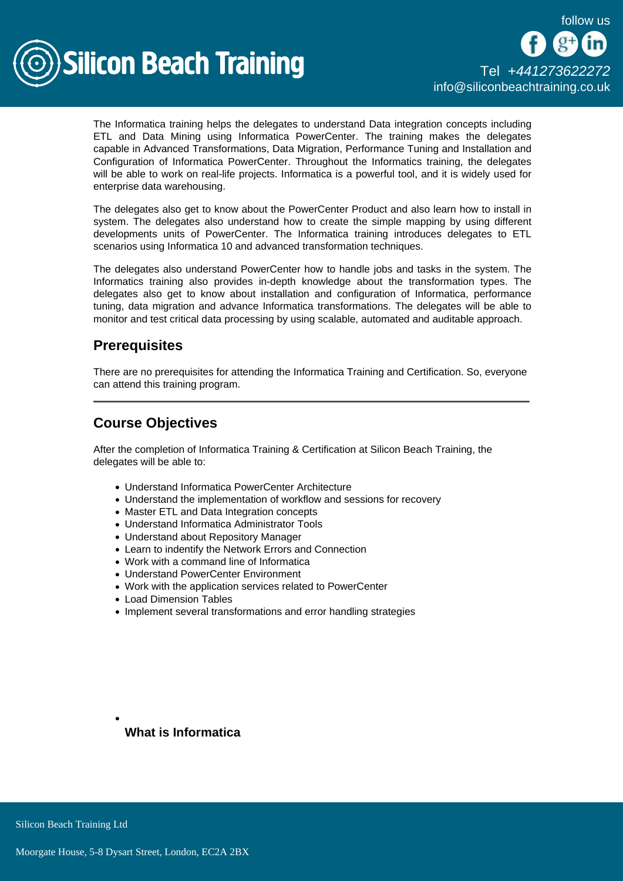

The Informatica training helps the delegates to understand Data integration concepts including ETL and Data Mining using Informatica PowerCenter. The training makes the delegates capable in Advanced Transformations, Data Migration, Performance Tuning and Installation and Configuration of Informatica PowerCenter. Throughout the Informatics training, the delegates will be able to work on real-life projects. Informatica is a powerful tool, and it is widely used for enterprise data warehousing.

The delegates also get to know about the PowerCenter Product and also learn how to install in system. The delegates also understand how to create the simple mapping by using different developments units of PowerCenter. The Informatica training introduces delegates to ETL scenarios using Informatica 10 and advanced transformation techniques.

The delegates also understand PowerCenter how to handle jobs and tasks in the system. The Informatics training also provides in-depth knowledge about the transformation types. The delegates also get to know about installation and configuration of Informatica, performance tuning, data migration and advance Informatica transformations. The delegates will be able to monitor and test critical data processing by using scalable, automated and auditable approach.

## **Prerequisites**

There are no prerequisites for attending the Informatica Training and Certification. So, everyone can attend this training program.

## Course Objectives

After the completion of Informatica Training & Certification at Silicon Beach Training, the delegates will be able to:

- Understand Informatica PowerCenter Architecture
- Understand the implementation of workflow and sessions for recovery
- Master ETL and Data Integration concepts
- Understand Informatica Administrator Tools
- Understand about Repository Manager
- Learn to indentify the Network Errors and Connection
- Work with a command line of Informatica
- Understand PowerCenter Environment
- Work with the application services related to PowerCenter
- Load Dimension Tables
- Implement several transformations and error handling strategies

What is Informatica

**Silicon Beach Training Ltd**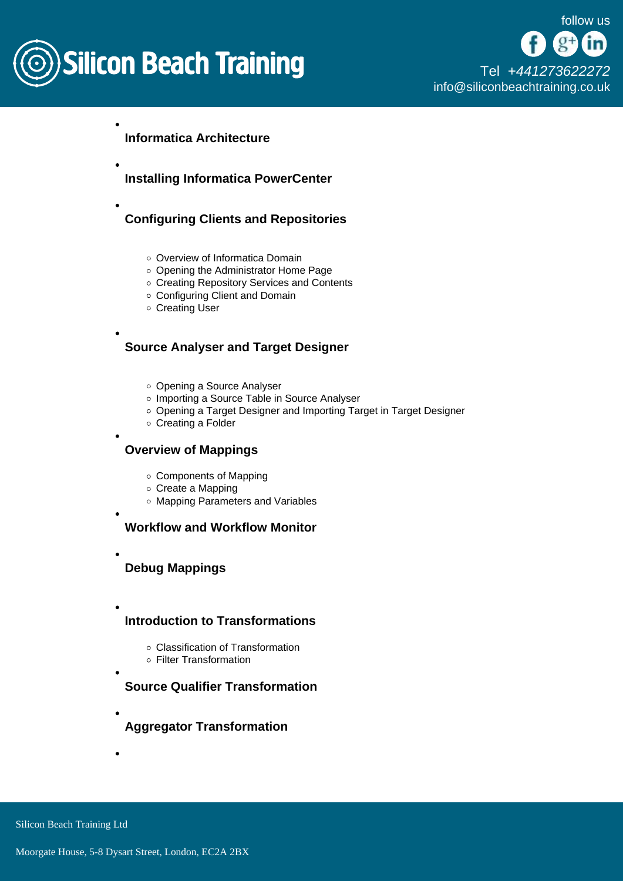

Informatica Architecture

- Installing Informatica PowerCenter
- Configuring Clients and Repositories
	- o Overview of Informatica Domain
	- Opening the Administrator Home Page
	- o Creating Repository Services and Contents
	- Configuring Client and Domain
	- Creating User

Source Analyser and Target Designer

- Opening a Source Analyser
- o Importing a Source Table in Source Analyser
- Opening a Target Designer and Importing Target in Target Designer
- Creating a Folder

Overview of Mappings

- Components of Mapping
- Create a Mapping
- Mapping Parameters and Variables
- 

Workflow and Workflow Monitor

Debug Mappings

- Introduction to Transformations
	- Classification of Transformation
	- Filter Transformation

Source Qualifier Transformation

Aggregator Transformation